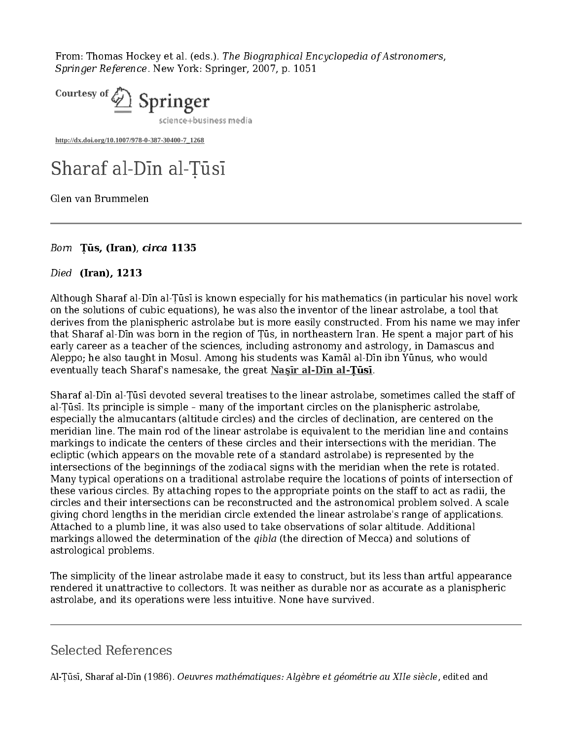From: Thomas Hockey et al. (eds.). The Biographical Encyclopedia of Astronomers, Springer Reference. New York: Springer, 2007, p. 1051



**http://dx.doi.org/10.1007/978-0-387-30400-7\_1268**

## Sharaf al‐Dīn al‐Ṭūsī

Glen van Brummelen

Born Ṭūs, (Iran), circa 1135

Died (Iran), 1213

Although Sharaf al‐Dīn al‐Ṭūsī is known especially for his mathematics (in particular his novel work on the solutions of cubic equations), he was also the inventor of the linear astrolabe, a tool that derives from the planispheric astrolabe but is more easily constructed. From his name we may infer that Sharaf al‐Dīn was born in the region of Ṭūs, in northeastern Iran. He spent a major part of his early career as a teacher of the sciences, including astronomy and astrology, in Damascus and Aleppo; he also taught in Mosul. Among his students was Kamāl al‐Dīn ibn Yūnus, who would eventually teach Sharaf's namesake, the great Nasir al-Din al-Tusi.

Sharaf al‐Dīn al‐Ṭūsī devoted several treatises to the linear astrolabe, sometimes called the staff of al-Tūsī. Its principle is simple – many of the important circles on the planispheric astrolabe, especially the almucantars (altitude circles) and the circles of declination, are centered on the meridian line. The main rod of the linear astrolabe is equivalent to the meridian line and contains markings to indicate the centers of these circles and their intersections with the meridian. The ecliptic (which appears on the movable rete of a standard astrolabe) is represented by the intersections of the beginnings of the zodiacal signs with the meridian when the rete is rotated. Many typical operations on a traditional astrolabe require the locations of points of intersection of these various circles. By attaching ropes to the appropriate points on the staff to act as radii, the circles and their intersections can be reconstructed and the astronomical problem solved. A scale giving chord lengths in the meridian circle extended the linear astrolabe's range of applications. Attached to a plumb line, it was also used to take observations of solar altitude. Additional markings allowed the determination of the qibla (the direction of Mecca) and solutions of astrological problems.

The simplicity of the linear astrolabe made it easy to construct, but its less than artful appearance rendered it unattractive to collectors. It was neither as durable nor as accurate as a planispheric astrolabe, and its operations were less intuitive. None have survived.

## Selected References

Al-Țūsī, Sharaf al-Dīn (1986). *Oeuvres mathématiques: Algèbre et géométrie au XIIe siècle,* edited and<br>identifies: Algèbre et géométrie au XIIe siècle, edited and pour le provint and the mathématique of the siècle, <br>Algèb